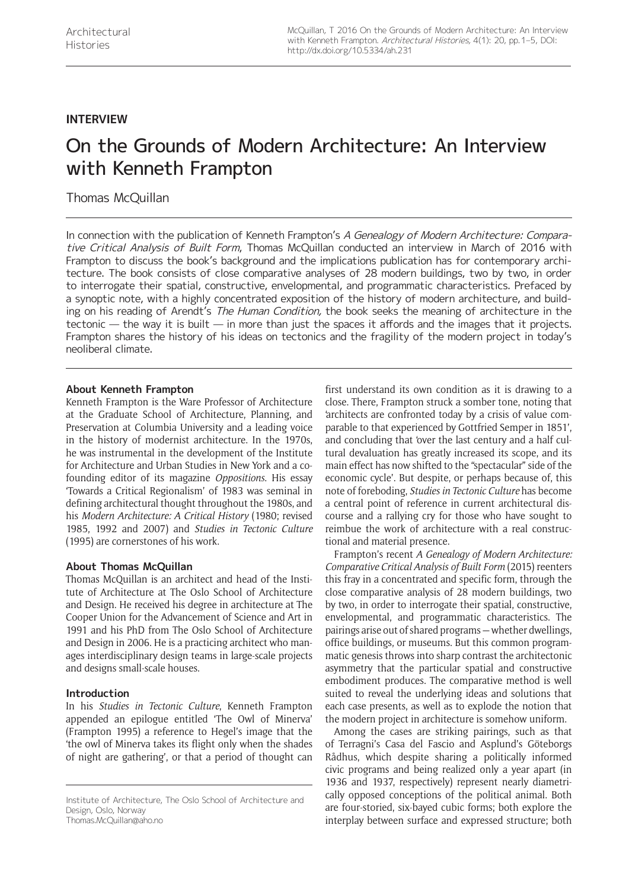## **INTERVIEW**

# On the Grounds of Modern Architecture: An Interview with Kenneth Frampton

Thomas McQuillan

In connection with the publication of Kenneth Frampton's A Genealogy of Modern Architecture: Comparative Critical Analysis of Built Form, Thomas McQuillan conducted an interview in March of 2016 with Frampton to discuss the book's background and the implications publication has for contemporary architecture. The book consists of close comparative analyses of 28 modern buildings, two by two, in order to interrogate their spatial, constructive, envelopmental, and programmatic characteristics. Prefaced by a synoptic note, with a highly concentrated exposition of the history of modern architecture, and building on his reading of Arendt's The Human Condition, the book seeks the meaning of architecture in the tectonic — the way it is built — in more than just the spaces it affords and the images that it projects. Frampton shares the history of his ideas on tectonics and the fragility of the modern project in today's neoliberal climate.

### **About Kenneth Frampton**

Kenneth Frampton is the Ware Professor of Architecture at the Graduate School of Architecture, Planning, and Preservation at Columbia University and a leading voice in the history of modernist architecture. In the 1970s, he was instrumental in the development of the Institute for Architecture and Urban Studies in New York and a cofounding editor of its magazine *Oppositions*. His essay 'Towards a Critical Regionalism' of 1983 was seminal in defining architectural thought throughout the 1980s, and his *Modern Architecture: A Critical History* (1980; revised 1985, 1992 and 2007) and *Studies in Tectonic Culture* (1995) are cornerstones of his work.

## **About Thomas McQuillan**

Thomas McQuillan is an architect and head of the Institute of Architecture at The Oslo School of Architecture and Design. He received his degree in architecture at The Cooper Union for the Advancement of Science and Art in 1991 and his PhD from The Oslo School of Architecture and Design in 2006. He is a practicing architect who manages interdisciplinary design teams in large-scale projects and designs small-scale houses.

## **Introduction**

In his *Studies in Tectonic Culture*, Kenneth Frampton appended an epilogue entitled 'The Owl of Minerva' (Frampton 1995) a reference to Hegel's image that the 'the owl of Minerva takes its flight only when the shades of night are gathering', or that a period of thought can

first understand its own condition as it is drawing to a close. There, Frampton struck a somber tone, noting that 'architects are confronted today by a crisis of value comparable to that experienced by Gottfried Semper in 1851', and concluding that 'over the last century and a half cultural devaluation has greatly increased its scope, and its main effect has now shifted to the "spectacular" side of the economic cycle'. But despite, or perhaps because of, this note of foreboding, *Studies in Tectonic Culture* has become a central point of reference in current architectural discourse and a rallying cry for those who have sought to reimbue the work of architecture with a real constructional and material presence.

Frampton's recent *A Genealogy of Modern Architecture: Comparative Critical Analysis of Built Form* (2015) reenters this fray in a concentrated and specific form, through the close comparative analysis of 28 modern buildings, two by two, in order to interrogate their spatial, constructive, envelopmental, and programmatic characteristics. The pairings arise out of shared programs — whether dwellings, office buildings, or museums. But this common programmatic genesis throws into sharp contrast the architectonic asymmetry that the particular spatial and constructive embodiment produces. The comparative method is well suited to reveal the underlying ideas and solutions that each case presents, as well as to explode the notion that the modern project in architecture is somehow uniform.

Among the cases are striking pairings, such as that of Terragni's Casa del Fascio and Asplund's Göteborgs Rådhus, which despite sharing a politically informed civic programs and being realized only a year apart (in 1936 and 1937, respectively) represent nearly diametrically opposed conceptions of the political animal. Both are four-storied, six-bayed cubic forms; both explore the interplay between surface and expressed structure; both

Institute of Architecture, The Oslo School of Architecture and Design, Oslo, Norway [Thomas.McQuillan@aho.no](mailto:Thomas.McQuillan@aho.no)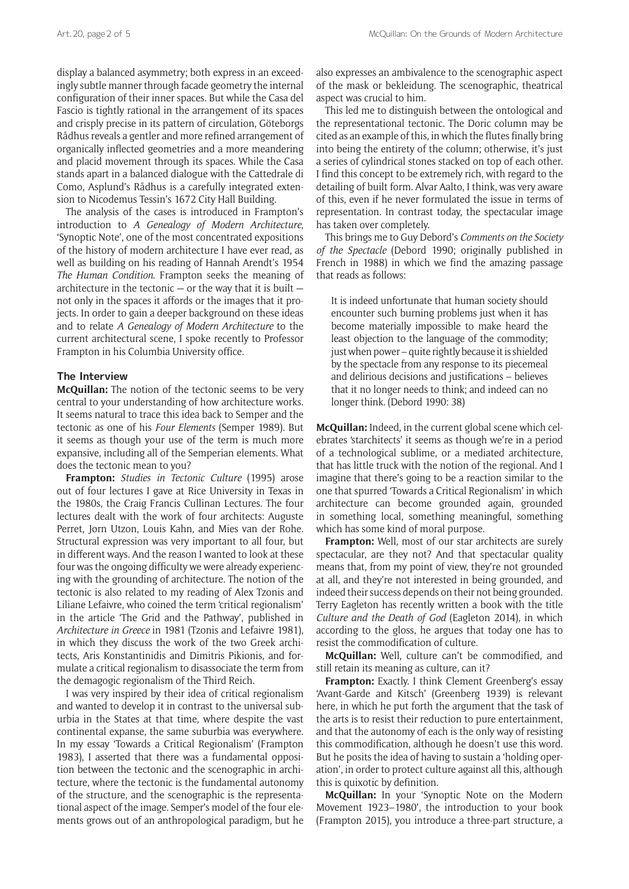display a balanced asymmetry; both express in an exceedingly subtle manner through facade geometry the internal configuration of their inner spaces. But while the Casa del Fascio is tightly rational in the arrangement of its spaces and crisply precise in its pattern of circulation, Göteborgs Rådhus reveals a gentler and more refined arrangement of organically inflected geometries and a more meandering and placid movement through its spaces. While the Casa stands apart in a balanced dialogue with the Cattedrale di Como, Asplund's Rådhus is a carefully integrated extension to Nicodemus Tessin's 1672 City Hall Building.

The analysis of the cases is introduced in Frampton's introduction to *A Genealogy of Modern Architecture*, 'Synoptic Note', one of the most concentrated expositions of the history of modern architecture I have ever read, as well as building on his reading of Hannah Arendt's 1954 *The Human Condition*. Frampton seeks the meaning of architecture in the tectonic  $-$  or the way that it is built  $$ not only in the spaces it affords or the images that it projects. In order to gain a deeper background on these ideas and to relate *A Genealogy of Modern Architecture* to the current architectural scene, I spoke recently to Professor Frampton in his Columbia University office.

#### **The Interview**

**McQuillan:** The notion of the tectonic seems to be very central to your understanding of how architecture works. It seems natural to trace this idea back to Semper and the tectonic as one of his *Four Elements* (Semper 1989). But it seems as though your use of the term is much more expansive, including all of the Semperian elements. What does the tectonic mean to you?

**Frampton:** *Studies in Tectonic Culture* (1995) arose out of four lectures I gave at Rice University in Texas in the 1980s, the Craig Francis Cullinan Lectures. The four lectures dealt with the work of four architects: Auguste Perret, Jørn Utzon, Louis Kahn, and Mies van der Rohe. Structural expression was very important to all four, but in different ways. And the reason I wanted to look at these four was the ongoing difficulty we were already experiencing with the grounding of architecture. The notion of the tectonic is also related to my reading of Alex Tzonis and Liliane Lefaivre, who coined the term 'critical regionalism' in the article 'The Grid and the Pathway', published in *Architecture in Greece* in 1981 (Tzonis and Lefaivre 1981), in which they discuss the work of the two Greek architects, Aris Konstantinidis and Dimitris Pikionis, and formulate a critical regionalism to disassociate the term from the demagogic regionalism of the Third Reich.

I was very inspired by their idea of critical regionalism and wanted to develop it in contrast to the universal suburbia in the States at that time, where despite the vast continental expanse, the same suburbia was everywhere. In my essay 'Towards a Critical Regionalism' (Frampton 1983), I asserted that there was a fundamental opposition between the tectonic and the scenographic in architecture, where the tectonic is the fundamental autonomy of the structure, and the scenographic is the representational aspect of the image. Semper's model of the four elements grows out of an anthropological paradigm, but he also expresses an ambivalence to the scenographic aspect of the mask or bekleidung. The scenographic, theatrical aspect was crucial to him.

This led me to distinguish between the ontological and the representational tectonic. The Doric column may be cited as an example of this, in which the flutes finally bring into being the entirety of the column; otherwise, it's just a series of cylindrical stones stacked on top of each other. I find this concept to be extremely rich, with regard to the detailing of built form. Alvar Aalto, I think, was very aware of this, even if he never formulated the issue in terms of representation. In contrast today, the spectacular image has taken over completely.

This brings me to Guy Debord's *Comments on the Society of the Spectacle* (Debord 1990; originally published in French in 1988) in which we find the amazing passage that reads as follows:

It is indeed unfortunate that human society should encounter such burning problems just when it has become materially impossible to make heard the least objection to the language of the commodity; just when power – quite rightly because it is shielded by the spectacle from any response to its piecemeal and delirious decisions and justifications – believes that it no longer needs to think; and indeed can no longer think. (Debord 1990: 38)

**McQuillan:** Indeed, in the current global scene which celebrates 'starchitects' it seems as though we're in a period of a technological sublime, or a mediated architecture, that has little truck with the notion of the regional. And I imagine that there's going to be a reaction similar to the one that spurred 'Towards a Critical Regionalism' in which architecture can become grounded again, grounded in something local, something meaningful, something which has some kind of moral purpose.

**Frampton:** Well, most of our star architects are surely spectacular, are they not? And that spectacular quality means that, from my point of view, they're not grounded at all, and they're not interested in being grounded, and indeed their success depends on their not being grounded. Terry Eagleton has recently written a book with the title *Culture and the Death of God* (Eagleton 2014), in which according to the gloss, he argues that today one has to resist the commodification of culture.

**McQuillan:** Well, culture can't be commodified, and still retain its meaning as culture, can it?

**Frampton:** Exactly. I think Clement Greenberg's essay 'Avant-Garde and Kitsch' (Greenberg 1939) is relevant here, in which he put forth the argument that the task of the arts is to resist their reduction to pure entertainment, and that the autonomy of each is the only way of resisting this commodification, although he doesn't use this word. But he posits the idea of having to sustain a 'holding operation', in order to protect culture against all this, although this is quixotic by definition.

**McQuillan:** In your 'Synoptic Note on the Modern Movement 1923–1980', the introduction to your book (Frampton 2015), you introduce a three-part structure, a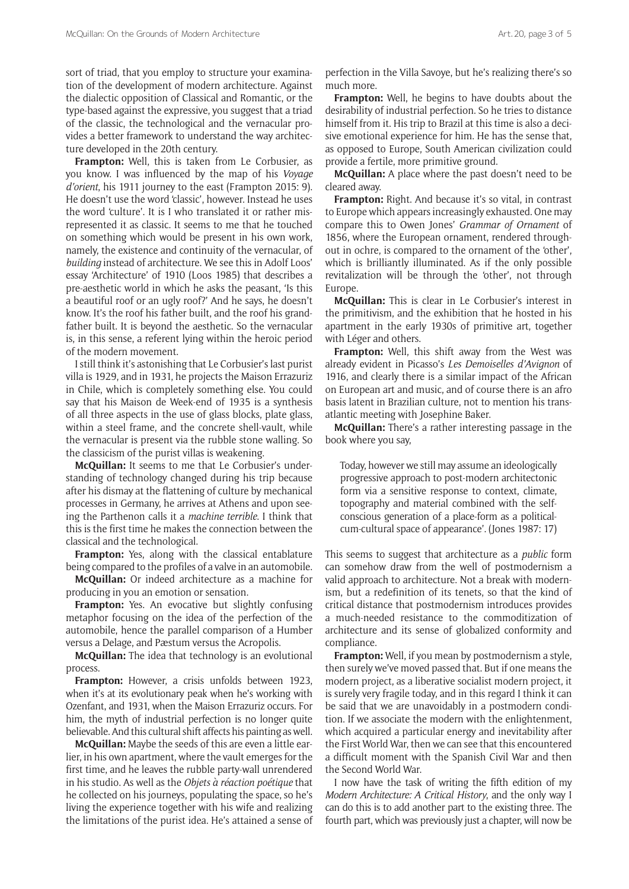sort of triad, that you employ to structure your examination of the development of modern architecture. Against the dialectic opposition of Classical and Romantic, or the type-based against the expressive, you suggest that a triad of the classic, the technological and the vernacular provides a better framework to understand the way architecture developed in the 20th century.

**Frampton:** Well, this is taken from Le Corbusier, as you know. I was influenced by the map of his *Voyage d'orient*, his 1911 journey to the east (Frampton 2015: 9). He doesn't use the word 'classic', however. Instead he uses the word 'culture'. It is I who translated it or rather misrepresented it as classic. It seems to me that he touched on something which would be present in his own work, namely, the existence and continuity of the vernacular, of *building* instead of architecture. We see this in Adolf Loos' essay 'Architecture' of 1910 (Loos 1985) that describes a pre-aesthetic world in which he asks the peasant, 'Is this a beautiful roof or an ugly roof?' And he says, he doesn't know. It's the roof his father built, and the roof his grandfather built. It is beyond the aesthetic. So the vernacular is, in this sense, a referent lying within the heroic period of the modern movement.

I still think it's astonishing that Le Corbusier's last purist villa is 1929, and in 1931, he projects the Maison Errazuriz in Chile, which is completely something else. You could say that his Maison de Week-end of 1935 is a synthesis of all three aspects in the use of glass blocks, plate glass, within a steel frame, and the concrete shell-vault, while the vernacular is present via the rubble stone walling. So the classicism of the purist villas is weakening.

**McQuillan:** It seems to me that Le Corbusier's understanding of technology changed during his trip because after his dismay at the flattening of culture by mechanical processes in Germany, he arrives at Athens and upon seeing the Parthenon calls it a *machine terrible*. I think that this is the first time he makes the connection between the classical and the technological.

**Frampton:** Yes, along with the classical entablature being compared to the profiles of a valve in an automobile.

**McQuillan:** Or indeed architecture as a machine for producing in you an emotion or sensation.

**Frampton:** Yes. An evocative but slightly confusing metaphor focusing on the idea of the perfection of the automobile, hence the parallel comparison of a Humber versus a Delage, and Pæstum versus the Acropolis.

**McQuillan:** The idea that technology is an evolutional process.

**Frampton:** However, a crisis unfolds between 1923, when it's at its evolutionary peak when he's working with Ozenfant, and 1931, when the Maison Errazuriz occurs. For him, the myth of industrial perfection is no longer quite believable. And this cultural shift affects his painting as well.

**McQuillan:** Maybe the seeds of this are even a little earlier, in his own apartment, where the vault emerges for the first time, and he leaves the rubble party-wall unrendered in his studio. As well as the *Objets à réaction poétique* that he collected on his journeys, populating the space, so he's living the experience together with his wife and realizing the limitations of the purist idea. He's attained a sense of perfection in the Villa Savoye, but he's realizing there's so much more.

**Frampton:** Well, he begins to have doubts about the desirability of industrial perfection. So he tries to distance himself from it. His trip to Brazil at this time is also a decisive emotional experience for him. He has the sense that, as opposed to Europe, South American civilization could provide a fertile, more primitive ground.

**McQuillan:** A place where the past doesn't need to be cleared away.

**Frampton:** Right. And because it's so vital, in contrast to Europe which appears increasingly exhausted. One may compare this to Owen Jones' *Grammar of Ornament* of 1856, where the European ornament, rendered throughout in ochre, is compared to the ornament of the 'other', which is brilliantly illuminated. As if the only possible revitalization will be through the 'other', not through Europe.

**McQuillan:** This is clear in Le Corbusier's interest in the primitivism, and the exhibition that he hosted in his apartment in the early 1930s of primitive art, together with Léger and others.

**Frampton:** Well, this shift away from the West was already evident in Picasso's *Les Demoiselles d'Avignon* of 1916, and clearly there is a similar impact of the African on European art and music, and of course there is an afro basis latent in Brazilian culture, not to mention his transatlantic meeting with Josephine Baker.

**McQuillan:** There's a rather interesting passage in the book where you say,

Today, however we still may assume an ideologically progressive approach to post-modern architectonic form via a sensitive response to context, climate, topography and material combined with the selfconscious generation of a place-form as a politicalcum-cultural space of appearance'. (Jones 1987: 17)

This seems to suggest that architecture as a *public* form can somehow draw from the well of postmodernism a valid approach to architecture. Not a break with modernism, but a redefinition of its tenets, so that the kind of critical distance that postmodernism introduces provides a much-needed resistance to the commoditization of architecture and its sense of globalized conformity and compliance.

**Frampton:** Well, if you mean by postmodernism a style, then surely we've moved passed that. But if one means the modern project, as a liberative socialist modern project, it is surely very fragile today, and in this regard I think it can be said that we are unavoidably in a postmodern condition. If we associate the modern with the enlightenment, which acquired a particular energy and inevitability after the First World War, then we can see that this encountered a difficult moment with the Spanish Civil War and then the Second World War.

I now have the task of writing the fifth edition of my *Modern Architecture: A Critical History*, and the only way I can do this is to add another part to the existing three. The fourth part, which was previously just a chapter, will now be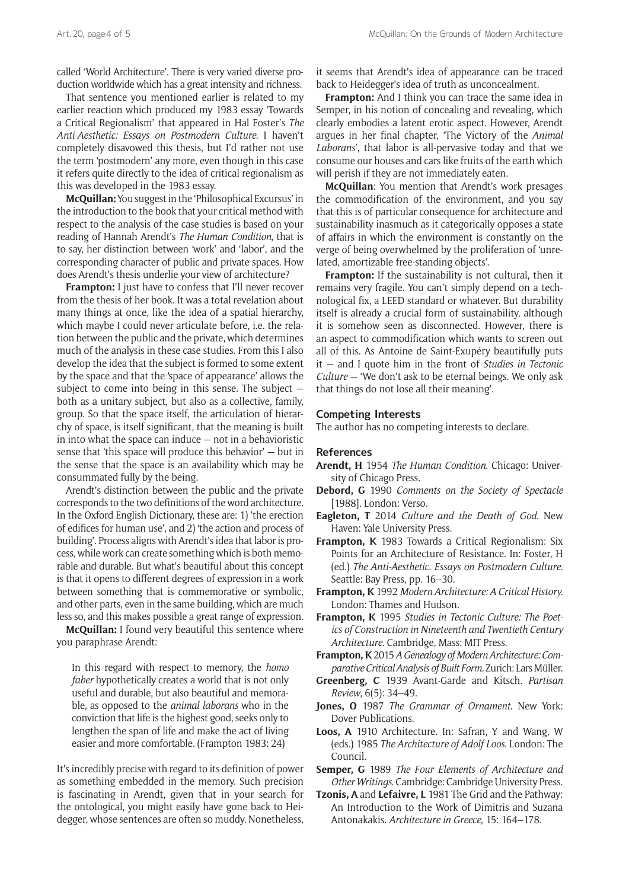called 'World Architecture'. There is very varied diverse production worldwide which has a great intensity and richness.

That sentence you mentioned earlier is related to my earlier reaction which produced my 1983 essay 'Towards a Critical Regionalism' that appeared in Hal Foster's *The Anti-Aesthetic: Essays on Postmodern Culture*. I haven't completely disavowed this thesis, but I'd rather not use the term 'postmodern' any more, even though in this case it refers quite directly to the idea of critical regionalism as this was developed in the 1983 essay.

**McQuillan:** You suggest in the 'Philosophical Excursus' in the introduction to the book that your critical method with respect to the analysis of the case studies is based on your reading of Hannah Arendt's *The Human Condition*, that is to say, her distinction between 'work' and 'labor', and the corresponding character of public and private spaces. How does Arendt's thesis underlie your view of architecture?

**Frampton:** I just have to confess that I'll never recover from the thesis of her book. It was a total revelation about many things at once, like the idea of a spatial hierarchy, which maybe I could never articulate before, i.e. the relation between the public and the private, which determines much of the analysis in these case studies. From this I also develop the idea that the subject is formed to some extent by the space and that the 'space of appearance' allows the subject to come into being in this sense. The subject both as a unitary subject, but also as a collective, family, group. So that the space itself, the articulation of hierarchy of space, is itself significant, that the meaning is built in into what the space can induce — not in a behavioristic sense that 'this space will produce this behavior' — but in the sense that the space is an availability which may be consummated fully by the being.

Arendt's distinction between the public and the private corresponds to the two definitions of the word architecture. In the Oxford English Dictionary, these are: 1) 'the erection of edifices for human use', and 2) 'the action and process of building'. Process aligns with Arendt's idea that labor is process, while work can create something which is both memorable and durable. But what's beautiful about this concept is that it opens to different degrees of expression in a work between something that is commemorative or symbolic, and other parts, even in the same building, which are much less so, and this makes possible a great range of expression.

**McQuillan:** I found very beautiful this sentence where you paraphrase Arendt:

In this regard with respect to memory, the *homo faber* hypothetically creates a world that is not only useful and durable, but also beautiful and memorable, as opposed to the *animal laborans* who in the conviction that life is the highest good, seeks only to lengthen the span of life and make the act of living easier and more comfortable. (Frampton 1983: 24)

It's incredibly precise with regard to its definition of power as something embedded in the memory. Such precision is fascinating in Arendt, given that in your search for the ontological, you might easily have gone back to Heidegger, whose sentences are often so muddy. Nonetheless,

it seems that Arendt's idea of appearance can be traced back to Heidegger's idea of truth as unconcealment.

**Frampton:** And I think you can trace the same idea in Semper, in his notion of concealing and revealing, which clearly embodies a latent erotic aspect. However, Arendt argues in her final chapter, 'The Victory of the *Animal Laborans*', that labor is all-pervasive today and that we consume our houses and cars like fruits of the earth which will perish if they are not immediately eaten.

**McQuillan**: You mention that Arendt's work presages the commodification of the environment, and you say that this is of particular consequence for architecture and sustainability inasmuch as it categorically opposes a state of affairs in which the environment is constantly on the verge of being overwhelmed by the proliferation of 'unrelated, amortizable free-standing objects'.

**Frampton:** If the sustainability is not cultural, then it remains very fragile. You can't simply depend on a technological fix, a LEED standard or whatever. But durability itself is already a crucial form of sustainability, although it is somehow seen as disconnected. However, there is an aspect to commodification which wants to screen out all of this. As Antoine de Saint-Exupéry beautifully puts it — and I quote him in the front of *Studies in Tectonic Culture* — 'We don't ask to be eternal beings. We only ask that things do not lose all their meaning'.

#### **Competing Interests**

The author has no competing interests to declare.

#### **References**

- **Arendt, H** 1954 *The Human Condition*. Chicago: University of Chicago Press.
- **Debord, G** 1990 *Comments on the Society of Spectacle* [1988]. London: Verso.
- **Eagleton, T** 2014 *Culture and the Death of God*. New Haven: Yale University Press.
- **Frampton, K** 1983 Towards a Critical Regionalism: Six Points for an Architecture of Resistance. In: Foster, H (ed.) *The Anti-Aesthetic. Essays on Postmodern Culture*. Seattle: Bay Press, pp. 16–30.
- **Frampton, K** 1992 *Modern Architecture: A Critical History.* London: Thames and Hudson.
- **Frampton, K** 1995 *Studies in Tectonic Culture: The Poetics of Construction in Nineteenth and Twentieth Century Architecture*. Cambridge, Mass: MIT Press.
- **Frampton, K** 2015 *A Genealogy of Modern Architecture: Comparative Critical Analysis of Built Form.* Zurich: Lars Müller.
- **Greenberg, C** 1939 Avant-Garde and Kitsch. *Partisan Review*, 6(5): 34–49.
- **Jones, O** 1987 *The Grammar of Ornament*. New York: Dover Publications.
- **Loos, A** 1910 Architecture. In: Safran, Y and Wang, W (eds.) 1985 *The Architecture of Adolf Loos*. London: The Council.
- **Semper, G** 1989 *The Four Elements of Architecture and Other Writings*. Cambridge: Cambridge University Press.
- **Tzonis, A** and **Lefaivre, L** 1981 The Grid and the Pathway: An Introduction to the Work of Dimitris and Suzana Antonakakis. *Architecture in Greece*, 15: 164–178.